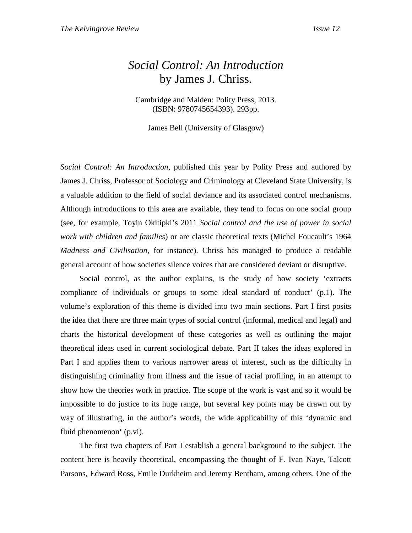## *Social Control: An Introduction* by James J. Chriss.

Cambridge and Malden: Polity Press, 2013. (ISBN: 9780745654393). 293pp.

James Bell (University of Glasgow)

*Social Control: An Introduction*, published this year by Polity Press and authored by James J. Chriss, Professor of Sociology and Criminology at Cleveland State University, is a valuable addition to the field of social deviance and its associated control mechanisms. Although introductions to this area are available, they tend to focus on one social group (see, for example, Toyin Okitipki's 2011 *Social control and the use of power in social work with children and families*) or are classic theoretical texts (Michel Foucault's 1964 *Madness and Civilisation*, for instance). Chriss has managed to produce a readable general account of how societies silence voices that are considered deviant or disruptive.

Social control, as the author explains, is the study of how society 'extracts compliance of individuals or groups to some ideal standard of conduct' (p.1). The volume's exploration of this theme is divided into two main sections. Part I first posits the idea that there are three main types of social control (informal, medical and legal) and charts the historical development of these categories as well as outlining the major theoretical ideas used in current sociological debate. Part II takes the ideas explored in Part I and applies them to various narrower areas of interest, such as the difficulty in distinguishing criminality from illness and the issue of racial profiling, in an attempt to show how the theories work in practice. The scope of the work is vast and so it would be impossible to do justice to its huge range, but several key points may be drawn out by way of illustrating, in the author's words, the wide applicability of this 'dynamic and fluid phenomenon' (p.vi).

The first two chapters of Part I establish a general background to the subject. The content here is heavily theoretical, encompassing the thought of F. Ivan Naye, Talcott Parsons, Edward Ross, Emile Durkheim and Jeremy Bentham, among others. One of the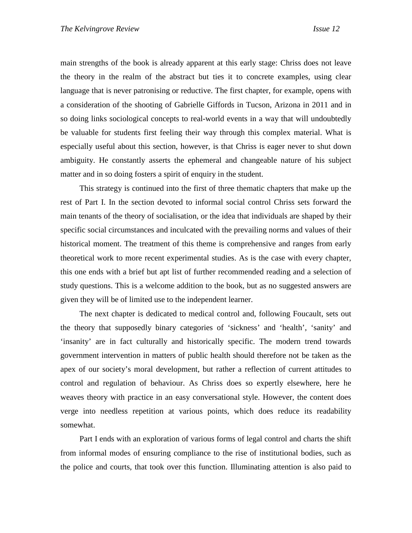main strengths of the book is already apparent at this early stage: Chriss does not leave the theory in the realm of the abstract but ties it to concrete examples, using clear language that is never patronising or reductive. The first chapter, for example, opens with a consideration of the shooting of Gabrielle Giffords in Tucson, Arizona in 2011 and in so doing links sociological concepts to real-world events in a way that will undoubtedly be valuable for students first feeling their way through this complex material. What is especially useful about this section, however, is that Chriss is eager never to shut down ambiguity. He constantly asserts the ephemeral and changeable nature of his subject matter and in so doing fosters a spirit of enquiry in the student.

This strategy is continued into the first of three thematic chapters that make up the rest of Part I. In the section devoted to informal social control Chriss sets forward the main tenants of the theory of socialisation, or the idea that individuals are shaped by their specific social circumstances and inculcated with the prevailing norms and values of their historical moment. The treatment of this theme is comprehensive and ranges from early theoretical work to more recent experimental studies. As is the case with every chapter, this one ends with a brief but apt list of further recommended reading and a selection of study questions. This is a welcome addition to the book, but as no suggested answers are given they will be of limited use to the independent learner.

The next chapter is dedicated to medical control and, following Foucault, sets out the theory that supposedly binary categories of 'sickness' and 'health', 'sanity' and 'insanity' are in fact culturally and historically specific. The modern trend towards government intervention in matters of public health should therefore not be taken as the apex of our society's moral development, but rather a reflection of current attitudes to control and regulation of behaviour. As Chriss does so expertly elsewhere, here he weaves theory with practice in an easy conversational style. However, the content does verge into needless repetition at various points, which does reduce its readability somewhat.

Part I ends with an exploration of various forms of legal control and charts the shift from informal modes of ensuring compliance to the rise of institutional bodies, such as the police and courts, that took over this function. Illuminating attention is also paid to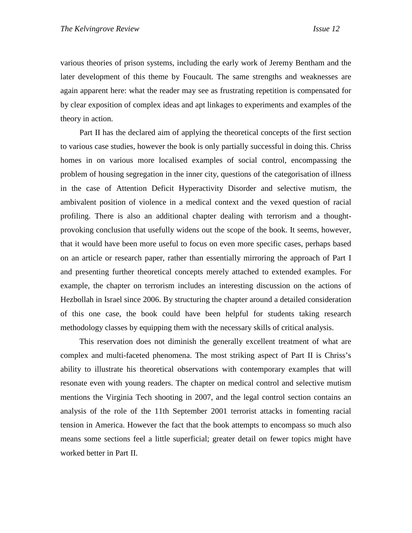various theories of prison systems, including the early work of Jeremy Bentham and the later development of this theme by Foucault. The same strengths and weaknesses are again apparent here: what the reader may see as frustrating repetition is compensated for by clear exposition of complex ideas and apt linkages to experiments and examples of the theory in action.

Part II has the declared aim of applying the theoretical concepts of the first section to various case studies, however the book is only partially successful in doing this. Chriss homes in on various more localised examples of social control, encompassing the problem of housing segregation in the inner city, questions of the categorisation of illness in the case of Attention Deficit Hyperactivity Disorder and selective mutism, the ambivalent position of violence in a medical context and the vexed question of racial profiling. There is also an additional chapter dealing with terrorism and a thoughtprovoking conclusion that usefully widens out the scope of the book. It seems, however, that it would have been more useful to focus on even more specific cases, perhaps based on an article or research paper, rather than essentially mirroring the approach of Part I and presenting further theoretical concepts merely attached to extended examples. For example, the chapter on terrorism includes an interesting discussion on the actions of Hezbollah in Israel since 2006. By structuring the chapter around a detailed consideration of this one case, the book could have been helpful for students taking research methodology classes by equipping them with the necessary skills of critical analysis.

 This reservation does not diminish the generally excellent treatment of what are complex and multi-faceted phenomena. The most striking aspect of Part II is Chriss's ability to illustrate his theoretical observations with contemporary examples that will resonate even with young readers. The chapter on medical control and selective mutism mentions the Virginia Tech shooting in 2007, and the legal control section contains an analysis of the role of the 11th September 2001 terrorist attacks in fomenting racial tension in America. However the fact that the book attempts to encompass so much also means some sections feel a little superficial; greater detail on fewer topics might have worked better in Part II.